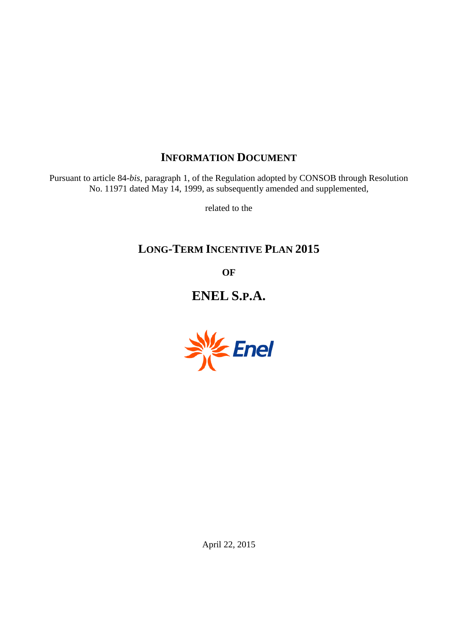# **INFORMATION DOCUMENT**

Pursuant to article 84-*bis*, paragraph 1, of the Regulation adopted by CONSOB through Resolution No. 11971 dated May 14, 1999, as subsequently amended and supplemented,

related to the

# **LONG-TERM INCENTIVE PLAN 2015**

**OF**

**ENEL S.P.A.**



April 22, 2015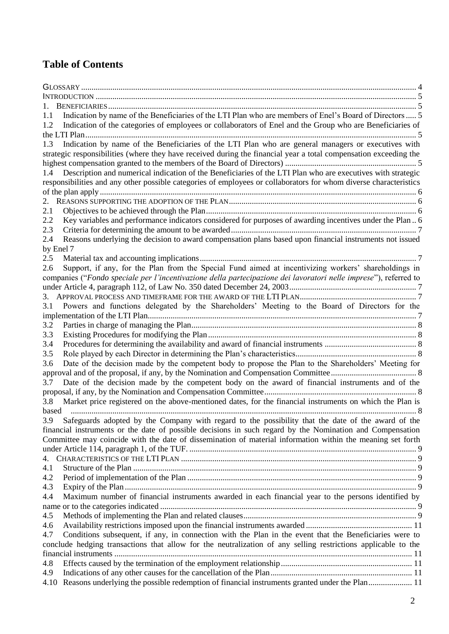# **Table of Contents**

| 1.1       | Indication by name of the Beneficiaries of the LTI Plan who are members of Enel's Board of Directors  5           |
|-----------|-------------------------------------------------------------------------------------------------------------------|
| 1.2       | Indication of the categories of employees or collaborators of Enel and the Group who are Beneficiaries of         |
|           |                                                                                                                   |
| 1.3       | Indication by name of the Beneficiaries of the LTI Plan who are general managers or executives with               |
|           | strategic responsibilities (where they have received during the financial year a total compensation exceeding the |
|           |                                                                                                                   |
| 1.4       | Description and numerical indication of the Beneficiaries of the LTI Plan who are executives with strategic       |
|           | responsibilities and any other possible categories of employees or collaborators for whom diverse characteristics |
|           |                                                                                                                   |
| 2.        |                                                                                                                   |
| 2.1       |                                                                                                                   |
| 2.2       | Key variables and performance indicators considered for purposes of awarding incentives under the Plan 6          |
| 2.3       |                                                                                                                   |
| 2.4       | Reasons underlying the decision to award compensation plans based upon financial instruments not issued           |
| by Enel 7 |                                                                                                                   |
| 2.5       |                                                                                                                   |
| 2.6       | Support, if any, for the Plan from the Special Fund aimed at incentivizing workers' shareholdings in              |
|           | companies ("Fondo speciale per l'incentivazione della partecipazione dei lavoratori nelle imprese"), referred to  |
|           |                                                                                                                   |
|           |                                                                                                                   |
| 3.1       | Powers and functions delegated by the Shareholders' Meeting to the Board of Directors for the                     |
|           |                                                                                                                   |
| 3.2       |                                                                                                                   |
| 3.3       |                                                                                                                   |
| 3.4       |                                                                                                                   |
| 3.5       |                                                                                                                   |
| 3.6       | Date of the decision made by the competent body to propose the Plan to the Shareholders' Meeting for              |
|           |                                                                                                                   |
| 3.7       | Date of the decision made by the competent body on the award of financial instruments and of the                  |
|           |                                                                                                                   |
| 3.8       | Market price registered on the above-mentioned dates, for the financial instruments on which the Plan is          |
| based     |                                                                                                                   |
| 3.9       | Safeguards adopted by the Company with regard to the possibility that the date of the award of the                |
|           | financial instruments or the date of possible decisions in such regard by the Nomination and Compensation         |
|           | Committee may coincide with the date of dissemination of material information within the meaning set forth        |
|           |                                                                                                                   |
| 4.        |                                                                                                                   |
| 4.1       |                                                                                                                   |
| 4.2       |                                                                                                                   |
| 4.3       |                                                                                                                   |
| 4.4       | Maximum number of financial instruments awarded in each financial year to the persons identified by               |
|           |                                                                                                                   |
| 4.5       |                                                                                                                   |
| 4.6       |                                                                                                                   |
| 4.7       | Conditions subsequent, if any, in connection with the Plan in the event that the Beneficiaries were to            |
|           | conclude hedging transactions that allow for the neutralization of any selling restrictions applicable to the     |
|           |                                                                                                                   |
| 4.8       |                                                                                                                   |
| 4.9       |                                                                                                                   |
|           | 4.10 Reasons underlying the possible redemption of financial instruments granted under the Plan 11                |
|           |                                                                                                                   |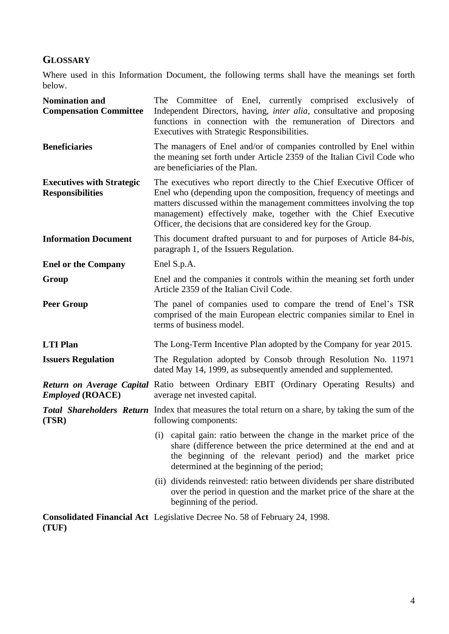# <span id="page-3-0"></span>**GLOSSARY**

Where used in this Information Document, the following terms shall have the meanings set forth below.

| <b>Nomination and</b><br><b>Compensation Committee</b>      | The Committee of Enel, currently comprised exclusively of<br>Independent Directors, having, <i>inter alia</i> , consultative and proposing<br>functions in connection with the remuneration of Directors and<br>Executives with Strategic Responsibilities.                                                                                             |  |  |  |
|-------------------------------------------------------------|---------------------------------------------------------------------------------------------------------------------------------------------------------------------------------------------------------------------------------------------------------------------------------------------------------------------------------------------------------|--|--|--|
| <b>Beneficiaries</b>                                        | The managers of Enel and/or of companies controlled by Enel within<br>the meaning set forth under Article 2359 of the Italian Civil Code who<br>are beneficiaries of the Plan.                                                                                                                                                                          |  |  |  |
| <b>Executives with Strategic</b><br><b>Responsibilities</b> | The executives who report directly to the Chief Executive Officer of<br>Enel who (depending upon the composition, frequency of meetings and<br>matters discussed within the management committees involving the top<br>management) effectively make, together with the Chief Executive<br>Officer, the decisions that are considered key for the Group. |  |  |  |
| <b>Information Document</b>                                 | This document drafted pursuant to and for purposes of Article 84-bis,<br>paragraph 1, of the Issuers Regulation.                                                                                                                                                                                                                                        |  |  |  |
| <b>Enel or the Company</b>                                  | Enel S.p.A.                                                                                                                                                                                                                                                                                                                                             |  |  |  |
| Group                                                       | Enel and the companies it controls within the meaning set forth under<br>Article 2359 of the Italian Civil Code.                                                                                                                                                                                                                                        |  |  |  |
| <b>Peer Group</b>                                           | The panel of companies used to compare the trend of Enel's TSR<br>comprised of the main European electric companies similar to Enel in<br>terms of business model.                                                                                                                                                                                      |  |  |  |
| <b>LTI</b> Plan                                             | The Long-Term Incentive Plan adopted by the Company for year 2015.                                                                                                                                                                                                                                                                                      |  |  |  |
| <b>Issuers Regulation</b>                                   | The Regulation adopted by Consob through Resolution No. 11971<br>dated May 14, 1999, as subsequently amended and supplemented.                                                                                                                                                                                                                          |  |  |  |
| <b>Employed (ROACE)</b>                                     | Return on Average Capital Ratio between Ordinary EBIT (Ordinary Operating Results) and<br>average net invested capital.                                                                                                                                                                                                                                 |  |  |  |
| (TSR)                                                       | <b>Total Shareholders Return</b> Index that measures the total return on a share, by taking the sum of the<br>following components:                                                                                                                                                                                                                     |  |  |  |
|                                                             | (i) capital gain: ratio between the change in the market price of the<br>share (difference between the price determined at the end and at<br>the beginning of the relevant period) and the market price<br>determined at the beginning of the period;                                                                                                   |  |  |  |
|                                                             | (ii) dividends reinvested: ratio between dividends per share distributed<br>over the period in question and the market price of the share at the<br>beginning of the period.                                                                                                                                                                            |  |  |  |
|                                                             | Consolidated Financial Act Legislative Decree No. 58 of February 24, 1998.                                                                                                                                                                                                                                                                              |  |  |  |

**(TUF)**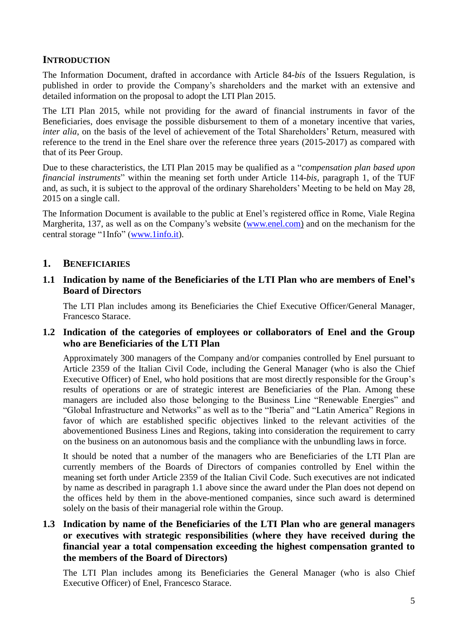## <span id="page-4-0"></span>**INTRODUCTION**

The Information Document, drafted in accordance with Article 84-*bis* of the Issuers Regulation, is published in order to provide the Company's shareholders and the market with an extensive and detailed information on the proposal to adopt the LTI Plan 2015.

The LTI Plan 2015, while not providing for the award of financial instruments in favor of the Beneficiaries, does envisage the possible disbursement to them of a monetary incentive that varies, *inter alia*, on the basis of the level of achievement of the Total Shareholders' Return, measured with reference to the trend in the Enel share over the reference three years (2015-2017) as compared with that of its Peer Group.

Due to these characteristics, the LTI Plan 2015 may be qualified as a "*compensation plan based upon financial instruments*" within the meaning set forth under Article 114-*bis*, paragraph 1, of the TUF and, as such, it is subject to the approval of the ordinary Shareholders' Meeting to be held on May 28, 2015 on a single call.

The Information Document is available to the public at Enel's registered office in Rome, Viale Regina Margherita, 137, as well as on the Company's website [\(www.enel.com\)](http://www.enel.com/) and on the mechanism for the central storage "1Info" [\(www.1info.it\)](http://www.1info.it/).

#### <span id="page-4-1"></span>**1. BENEFICIARIES**

#### <span id="page-4-2"></span>**1.1 Indication by name of the Beneficiaries of the LTI Plan who are members of Enel's Board of Directors**

The LTI Plan includes among its Beneficiaries the Chief Executive Officer/General Manager, Francesco Starace.

#### <span id="page-4-3"></span>**1.2 Indication of the categories of employees or collaborators of Enel and the Group who are Beneficiaries of the LTI Plan**

Approximately 300 managers of the Company and/or companies controlled by Enel pursuant to Article 2359 of the Italian Civil Code, including the General Manager (who is also the Chief Executive Officer) of Enel, who hold positions that are most directly responsible for the Group's results of operations or are of strategic interest are Beneficiaries of the Plan. Among these managers are included also those belonging to the Business Line "Renewable Energies" and "Global Infrastructure and Networks" as well as to the "Iberia" and "Latin America" Regions in favor of which are established specific objectives linked to the relevant activities of the abovementioned Business Lines and Regions, taking into consideration the requirement to carry on the business on an autonomous basis and the compliance with the unbundling laws in force.

It should be noted that a number of the managers who are Beneficiaries of the LTI Plan are currently members of the Boards of Directors of companies controlled by Enel within the meaning set forth under Article 2359 of the Italian Civil Code. Such executives are not indicated by name as described in paragraph 1.1 above since the award under the Plan does not depend on the offices held by them in the above-mentioned companies, since such award is determined solely on the basis of their managerial role within the Group.

## <span id="page-4-4"></span>**1.3 Indication by name of the Beneficiaries of the LTI Plan who are general managers or executives with strategic responsibilities (where they have received during the financial year a total compensation exceeding the highest compensation granted to the members of the Board of Directors)**

The LTI Plan includes among its Beneficiaries the General Manager (who is also Chief Executive Officer) of Enel, Francesco Starace.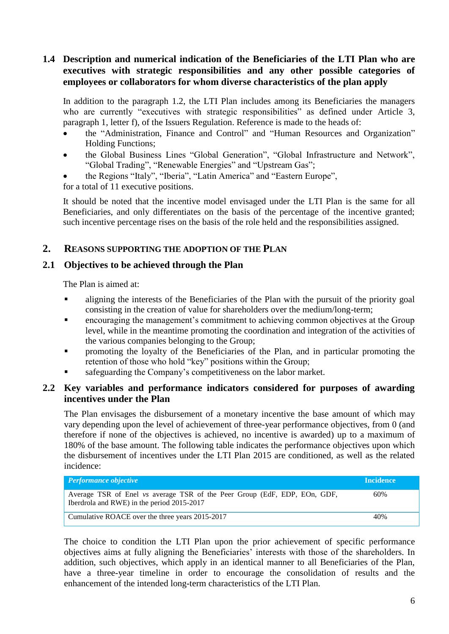## <span id="page-5-0"></span>**1.4 Description and numerical indication of the Beneficiaries of the LTI Plan who are executives with strategic responsibilities and any other possible categories of employees or collaborators for whom diverse characteristics of the plan apply**

In addition to the paragraph 1.2, the LTI Plan includes among its Beneficiaries the managers who are currently "executives with strategic responsibilities" as defined under Article 3, paragraph 1, letter f), of the Issuers Regulation. Reference is made to the heads of:

- the "Administration, Finance and Control" and "Human Resources and Organization" Holding Functions;
- the Global Business Lines "Global Generation", "Global Infrastructure and Network", "Global Trading", "Renewable Energies" and "Upstream Gas";
- the Regions "Italy", "Iberia", "Latin America" and "Eastern Europe",

for a total of 11 executive positions.

It should be noted that the incentive model envisaged under the LTI Plan is the same for all Beneficiaries, and only differentiates on the basis of the percentage of the incentive granted; such incentive percentage rises on the basis of the role held and the responsibilities assigned.

## <span id="page-5-1"></span>**2. REASONS SUPPORTING THE ADOPTION OF THE PLAN**

## <span id="page-5-2"></span>**2.1 Objectives to be achieved through the Plan**

The Plan is aimed at:

- aligning the interests of the Beneficiaries of the Plan with the pursuit of the priority goal consisting in the creation of value for shareholders over the medium/long-term;
- encouraging the management's commitment to achieving common objectives at the Group level, while in the meantime promoting the coordination and integration of the activities of the various companies belonging to the Group;
- promoting the loyalty of the Beneficiaries of the Plan, and in particular promoting the retention of those who hold "key" positions within the Group;
- safeguarding the Company's competitiveness on the labor market.

#### <span id="page-5-3"></span>**2.2 Key variables and performance indicators considered for purposes of awarding incentives under the Plan**

The Plan envisages the disbursement of a monetary incentive the base amount of which may vary depending upon the level of achievement of three-year performance objectives, from 0 (and therefore if none of the objectives is achieved, no incentive is awarded) up to a maximum of 180% of the base amount. The following table indicates the performance objectives upon which the disbursement of incentives under the LTI Plan 2015 are conditioned, as well as the related incidence:

| <b>Performance objective</b>                                                                                            | <b>Incidence</b> |
|-------------------------------------------------------------------------------------------------------------------------|------------------|
| Average TSR of Enel vs average TSR of the Peer Group (EdF, EDP, EOn, GDF,<br>Iberdrola and RWE) in the period 2015-2017 | 60%              |
| Cumulative ROACE over the three years 2015-2017                                                                         | 40%              |

The choice to condition the LTI Plan upon the prior achievement of specific performance objectives aims at fully aligning the Beneficiaries' interests with those of the shareholders. In addition, such objectives, which apply in an identical manner to all Beneficiaries of the Plan, have a three-year timeline in order to encourage the consolidation of results and the enhancement of the intended long-term characteristics of the LTI Plan.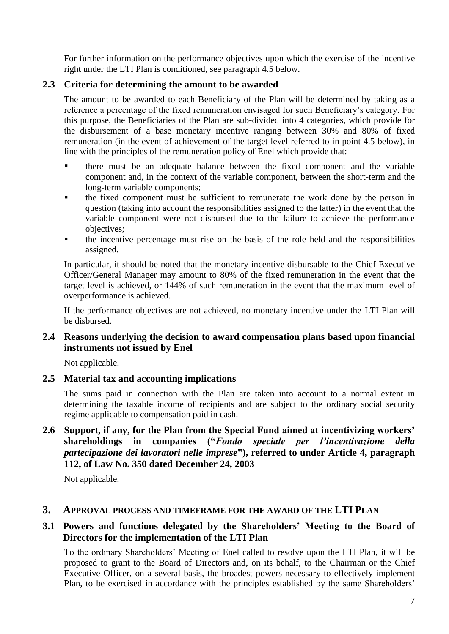For further information on the performance objectives upon which the exercise of the incentive right under the LTI Plan is conditioned, see paragraph 4.5 below.

## <span id="page-6-0"></span>**2.3 Criteria for determining the amount to be awarded**

The amount to be awarded to each Beneficiary of the Plan will be determined by taking as a reference a percentage of the fixed remuneration envisaged for such Beneficiary's category. For this purpose, the Beneficiaries of the Plan are sub-divided into 4 categories, which provide for the disbursement of a base monetary incentive ranging between 30% and 80% of fixed remuneration (in the event of achievement of the target level referred to in point 4.5 below), in line with the principles of the remuneration policy of Enel which provide that:

- there must be an adequate balance between the fixed component and the variable component and, in the context of the variable component, between the short-term and the long-term variable components;
- the fixed component must be sufficient to remunerate the work done by the person in question (taking into account the responsibilities assigned to the latter) in the event that the variable component were not disbursed due to the failure to achieve the performance objectives;
- the incentive percentage must rise on the basis of the role held and the responsibilities assigned.

In particular, it should be noted that the monetary incentive disbursable to the Chief Executive Officer/General Manager may amount to 80% of the fixed remuneration in the event that the target level is achieved, or 144% of such remuneration in the event that the maximum level of overperformance is achieved.

If the performance objectives are not achieved, no monetary incentive under the LTI Plan will be disbursed.

## <span id="page-6-1"></span>**2.4 Reasons underlying the decision to award compensation plans based upon financial instruments not issued by Enel**

Not applicable.

## <span id="page-6-2"></span>**2.5 Material tax and accounting implications**

The sums paid in connection with the Plan are taken into account to a normal extent in determining the taxable income of recipients and are subject to the ordinary social security regime applicable to compensation paid in cash.

## <span id="page-6-3"></span>**2.6 Support, if any, for the Plan from the Special Fund aimed at incentivizing workers' shareholdings in companies ("***Fondo speciale per l'incentivazione della partecipazione dei lavoratori nelle imprese***"), referred to under Article 4, paragraph 112, of Law No. 350 dated December 24, 2003**

Not applicable.

## <span id="page-6-4"></span>**3. APPROVAL PROCESS AND TIMEFRAME FOR THE AWARD OF THE LTI PLAN**

## <span id="page-6-5"></span>**3.1 Powers and functions delegated by the Shareholders' Meeting to the Board of Directors for the implementation of the LTI Plan**

To the ordinary Shareholders' Meeting of Enel called to resolve upon the LTI Plan, it will be proposed to grant to the Board of Directors and, on its behalf, to the Chairman or the Chief Executive Officer, on a several basis, the broadest powers necessary to effectively implement Plan, to be exercised in accordance with the principles established by the same Shareholders'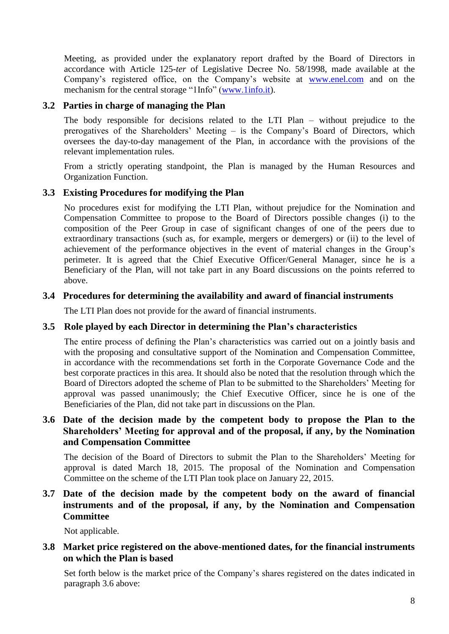Meeting, as provided under the explanatory report drafted by the Board of Directors in accordance with Article 125-*ter* of Legislative Decree No. 58/1998, made available at the Company's registered office, on the Company's website at [www.enel.com](http://www.enel.com/) and on the mechanism for the central storage "1Info" [\(www.1info.it\)](http://www.1info.it/).

#### <span id="page-7-0"></span>**3.2 Parties in charge of managing the Plan**

The body responsible for decisions related to the LTI Plan – without prejudice to the prerogatives of the Shareholders' Meeting – is the Company's Board of Directors, which oversees the day-to-day management of the Plan, in accordance with the provisions of the relevant implementation rules.

From a strictly operating standpoint, the Plan is managed by the Human Resources and Organization Function.

#### <span id="page-7-1"></span>**3.3 Existing Procedures for modifying the Plan**

No procedures exist for modifying the LTI Plan, without prejudice for the Nomination and Compensation Committee to propose to the Board of Directors possible changes (i) to the composition of the Peer Group in case of significant changes of one of the peers due to extraordinary transactions (such as, for example, mergers or demergers) or (ii) to the level of achievement of the performance objectives in the event of material changes in the Group's perimeter. It is agreed that the Chief Executive Officer/General Manager, since he is a Beneficiary of the Plan, will not take part in any Board discussions on the points referred to above.

#### <span id="page-7-2"></span>**3.4 Procedures for determining the availability and award of financial instruments**

The LTI Plan does not provide for the award of financial instruments.

#### <span id="page-7-3"></span>**3.5 Role played by each Director in determining the Plan's characteristics**

The entire process of defining the Plan's characteristics was carried out on a jointly basis and with the proposing and consultative support of the Nomination and Compensation Committee, in accordance with the recommendations set forth in the Corporate Governance Code and the best corporate practices in this area. It should also be noted that the resolution through which the Board of Directors adopted the scheme of Plan to be submitted to the Shareholders' Meeting for approval was passed unanimously; the Chief Executive Officer, since he is one of the Beneficiaries of the Plan, did not take part in discussions on the Plan.

## <span id="page-7-4"></span>**3.6 Date of the decision made by the competent body to propose the Plan to the Shareholders' Meeting for approval and of the proposal, if any, by the Nomination and Compensation Committee**

The decision of the Board of Directors to submit the Plan to the Shareholders' Meeting for approval is dated March 18, 2015. The proposal of the Nomination and Compensation Committee on the scheme of the LTI Plan took place on January 22, 2015.

## <span id="page-7-5"></span>**3.7 Date of the decision made by the competent body on the award of financial instruments and of the proposal, if any, by the Nomination and Compensation Committee**

Not applicable.

#### <span id="page-7-6"></span>**3.8 Market price registered on the above-mentioned dates, for the financial instruments on which the Plan is based**

Set forth below is the market price of the Company's shares registered on the dates indicated in paragraph 3.6 above: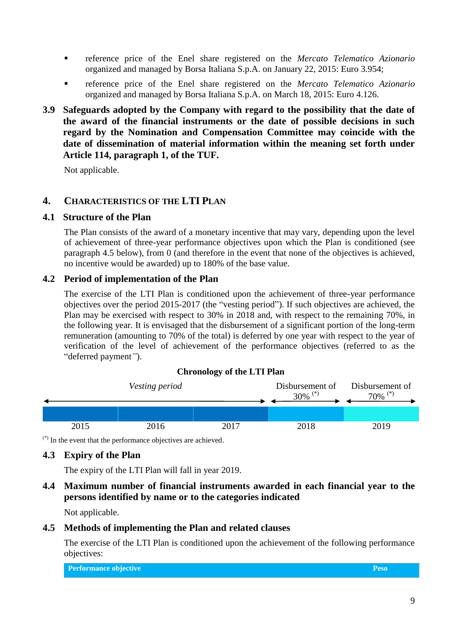- reference price of the Enel share registered on the *Mercato Telematico Azionario* organized and managed by Borsa Italiana S.p.A. on January 22, 2015: Euro 3.954;
- reference price of the Enel share registered on the *Mercato Telematico Azionario* organized and managed by Borsa Italiana S.p.A. on March 18, 2015: Euro 4.126.
- <span id="page-8-0"></span>**3.9 Safeguards adopted by the Company with regard to the possibility that the date of the award of the financial instruments or the date of possible decisions in such regard by the Nomination and Compensation Committee may coincide with the date of dissemination of material information within the meaning set forth under Article 114, paragraph 1, of the TUF.**

Not applicable.

## <span id="page-8-1"></span>**4. CHARACTERISTICS OF THE LTI PLAN**

#### <span id="page-8-2"></span>**4.1 Structure of the Plan**

The Plan consists of the award of a monetary incentive that may vary, depending upon the level of achievement of three-year performance objectives upon which the Plan is conditioned (see paragraph 4.5 below), from 0 (and therefore in the event that none of the objectives is achieved, no incentive would be awarded) up to 180% of the base value.

## <span id="page-8-3"></span>**4.2 Period of implementation of the Plan**

The exercise of the LTI Plan is conditioned upon the achievement of three-year performance objectives over the period 2015-2017 (the "vesting period"). If such objectives are achieved, the Plan may be exercised with respect to 30% in 2018 and, with respect to the remaining 70%, in the following year. It is envisaged that the disbursement of a significant portion of the long-term remuneration (amounting to 70% of the total) is deferred by one year with respect to the year of verification of the level of achievement of the performance objectives (referred to as the "deferred payment*"*).

#### **Chronology of the LTI Plan**



(\*) In the event that the performance objectives are achieved.

## <span id="page-8-4"></span>**4.3 Expiry of the Plan**

The expiry of the LTI Plan will fall in year 2019.

#### <span id="page-8-5"></span>**4.4 Maximum number of financial instruments awarded in each financial year to the persons identified by name or to the categories indicated**

Not applicable.

## <span id="page-8-6"></span>**4.5 Methods of implementing the Plan and related clauses**

The exercise of the LTI Plan is conditioned upon the achievement of the following performance objectives:

| Performance objective | Peso |
|-----------------------|------|
|-----------------------|------|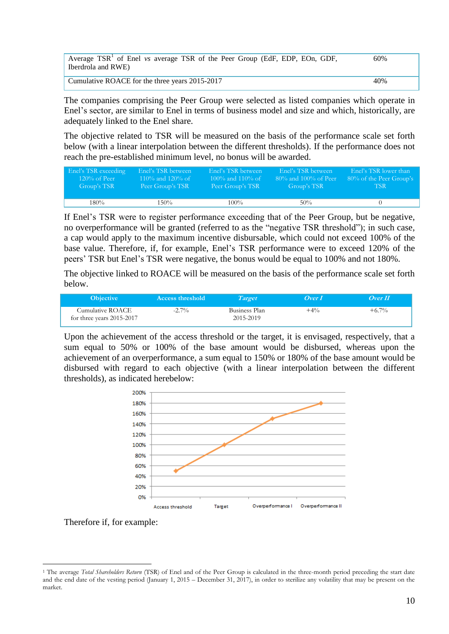| Average $TSR1$ of Enel vs average TSR of the Peer Group (EdF, EDP, EOn, GDF,<br>Iberdrola and RWE) | 60% |
|----------------------------------------------------------------------------------------------------|-----|
| Cumulative ROACE for the three years 2015-2017                                                     | 40% |

The companies comprising the Peer Group were selected as listed companies which operate in Enel's sector, are similar to Enel in terms of business model and size and which, historically, are adequately linked to the Enel share.

The objective related to TSR will be measured on the basis of the performance scale set forth below (with a linear interpolation between the different thresholds). If the performance does not reach the pre-established minimum level, no bonus will be awarded.

| Enel's TSR exceeding | Enel's TSR between | Enel's TSR between | Enel's TSR between      | Enel's TSR lower than   |
|----------------------|--------------------|--------------------|-------------------------|-------------------------|
| $120\%$ of Peer      | 110\% and 120\% of | 100\% and 110\% of | $80\%$ and 100% of Peer | 80% of the Peer Group's |
| Group's TSR          | Peer Group's TSR   | Peer Group's TSR   | Group's TSR             | -TSR-                   |
| 180%                 | $150\%$            | $100\%$            | $50\%$                  |                         |

If Enel's TSR were to register performance exceeding that of the Peer Group, but be negative, no overperformance will be granted (referred to as the "negative TSR threshold"); in such case, a cap would apply to the maximum incentive disbursable, which could not exceed 100% of the base value. Therefore, if, for example, Enel's TSR performance were to exceed 120% of the peers' TSR but Enel's TSR were negative, the bonus would be equal to 100% and not 180%.

The objective linked to ROACE will be measured on the basis of the performance scale set forth below.

| <b>Objective</b>                              | <b>Access threshold</b> | Target                     | Over 1 | Over II  |
|-----------------------------------------------|-------------------------|----------------------------|--------|----------|
| Cumulative ROACE<br>for three years 2015-2017 | $-2.7\%$                | Business Plan<br>2015-2019 | $+4\%$ | $+6.7\%$ |

Upon the achievement of the access threshold or the target, it is envisaged, respectively, that a sum equal to 50% or 100% of the base amount would be disbursed, whereas upon the achievement of an overperformance, a sum equal to 150% or 180% of the base amount would be disbursed with regard to each objective (with a linear interpolation between the different thresholds), as indicated herebelow:



Therefore if, for example:

<sup>&</sup>lt;u>.</u> <sup>1</sup> The average *Total Shareholders Return* (TSR) of Enel and of the Peer Group is calculated in the three-month period preceding the start date and the end date of the vesting period (January 1, 2015 – December 31, 2017), in order to sterilize any volatility that may be present on the market.